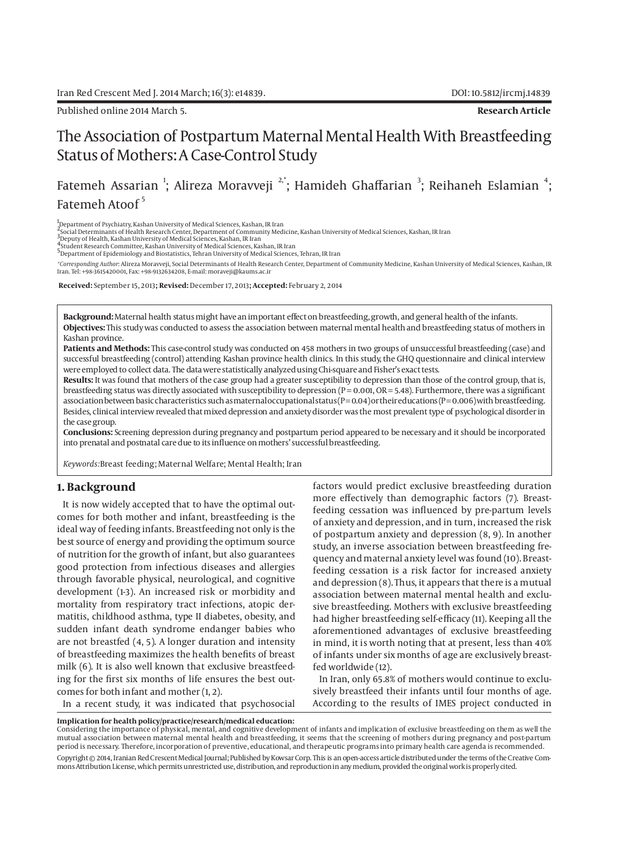Published online 2014 March 5. **Research Article**

# The Association of Postpartum Maternal Mental Health With Breastfeeding Status of Mothers: A Case-Control Study

Fatemeh Assarian <sup>1</sup>; Alireza Moravveji <sup>2,</sup>\*; Hamideh Ghaffarian <sup>3</sup>; Reihaneh Eslamian <sup>4</sup>; Fatemeh Atoof<sup>5</sup>

1 Department of Psychiatry, Kashan University of Medical Sciences, Kashan, IR Iran

2<br>Social Determinants of Health Research Center, Department of Community Medicine, Kashan University of Medical Sciences, Kashan, IR Iran<br><sup>3</sup> Deputy of Health, Kashan University of Medical Sciences, Kashan, IR Iran<br>"Studen

5Department of Epidemiology and Biostatistics, Tehran University of Medical Sciences, Tehran, IR Iran

*\*Corresponding Author*: Alireza Moravveji, Social Determinants of Health Research Center, Department of Community Medicine, Kashan University of Medical Sciences, Kashan, IR Iran. Tel: +98-3615420001, Fax: +98-9132634208, E-mail: moraveji@kaums.ac.ir

 **Received:** September 15, 2013**; Revised:** December 17, 2013**; Accepted:** February 2, 2014

**Background:** Maternal health status might have an important effect on breastfeeding, growth, and general health of the infants. **Objectives:** This study was conducted to assess the association between maternal mental health and breastfeeding status of mothers in Kashan province.

**Patients and Methods:** This case-control study was conducted on 458 mothers in two groups of unsuccessful breastfeeding (case) and successful breastfeeding (control) attending Kashan province health clinics. In this study, the GHQ questionnaire and clinical interview were employed to collect data. The data were statistically analyzed using Chi-square and Fisher's exact tests.

**Results:** It was found that mothers of the case group had a greater susceptibility to depression than those of the control group, that is, breastfeeding status was directly associated with susceptibility to depression ( $P = 0.001$ ,  $OR = 5.48$ ). Furthermore, there was a significant association between basic characteristics such as maternal occupational status ( $P=0.04$ ) or their educations ( $P=0.006$ ) with breastfeeding. Besides, clinical interview revealed that mixed depression and anxiety disorder was the most prevalent type of psychological disorder in the case group.

**Conclusions:** Screening depression during pregnancy and postpartum period appeared to be necessary and it should be incorporated into prenatal and postnatal care due to its influence on mothers' successful breastfeeding.

*Keywords:*Breast feeding; Maternal Welfare; Mental Health; Iran

## **1. Background**

It is now widely accepted that to have the optimal outcomes for both mother and infant, breastfeeding is the ideal way of feeding infants. Breastfeeding not only is the best source of energy and providing the optimum source of nutrition for the growth of infant, but also guarantees good protection from infectious diseases and allergies through favorable physical, neurological, and cognitive development (1-3). An increased risk or morbidity and mortality from respiratory tract infections, atopic dermatitis, childhood asthma, type II diabetes, obesity, and sudden infant death syndrome endanger babies who are not breastfed (4, 5). A longer duration and intensity of breastfeeding maximizes the health benefits of breast milk (6). It is also well known that exclusive breastfeeding for the first six months of life ensures the best outcomes for both infant and mother (1, 2).

In a recent study, it was indicated that psychosocial

factors would predict exclusive breastfeeding duration more effectively than demographic factors (7). Breastfeeding cessation was influenced by pre-partum levels of anxiety and depression, and in turn, increased the risk of postpartum anxiety and depression (8, 9). In another study, an inverse association between breastfeeding frequency and maternal anxiety level was found (10). Breastfeeding cessation is a risk factor for increased anxiety and depression (8). Thus, it appears that there is a mutual association between maternal mental health and exclusive breastfeeding. Mothers with exclusive breastfeeding had higher breastfeeding self-efficacy (11). Keeping all the aforementioned advantages of exclusive breastfeeding in mind, it is worth noting that at present, less than 40% of infants under six months of age are exclusively breastfed worldwide (12).

In Iran, only 65.8% of mothers would continue to exclusively breastfeed their infants until four months of age. According to the results of IMES project conducted in

**Implication for health policy/practice/research/medical education:**

Considering the importance of physical, mental, and cognitive development of infants and implication of exclusive breastfeeding on them as well the mutual association between maternal mental health and breastfeeding, it seems that the screening of mothers during pregnancy and post-partum period is necessary. Therefore, incorporation of preventive, educational, and therapeutic programs into primary health care agenda is recommended.

Copyright © 2014, Iranian Red Crescent Medical Journal; Published by Kowsar Corp. This is an open-access article distributed under the terms of the Creative Commons Attribution License, which permits unrestricted use, distribution, and reproduction in any medium, provided the original work is properly cited.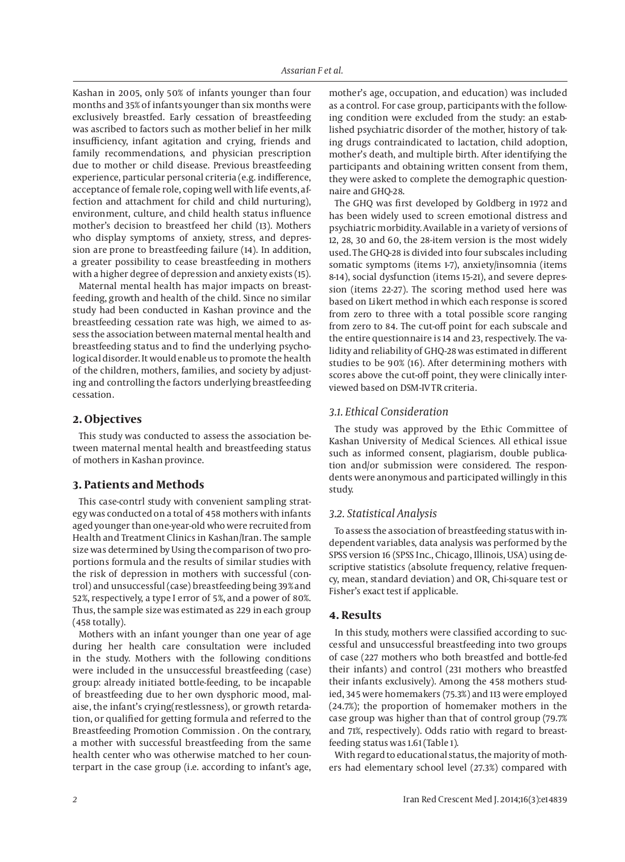Kashan in 2005, only 50% of infants younger than four months and 35% of infants younger than six months were exclusively breastfed. Early cessation of breastfeeding was ascribed to factors such as mother belief in her milk insufficiency, infant agitation and crying, friends and family recommendations, and physician prescription due to mother or child disease. Previous breastfeeding experience, particular personal criteria (e.g. indifference, acceptance of female role, coping well with life events, affection and attachment for child and child nurturing), environment, culture, and child health status influence mother's decision to breastfeed her child (13). Mothers who display symptoms of anxiety, stress, and depression are prone to breastfeeding failure (14). In addition, a greater possibility to cease breastfeeding in mothers with a higher degree of depression and anxiety exists (15).

Maternal mental health has major impacts on breastfeeding, growth and health of the child. Since no similar study had been conducted in Kashan province and the breastfeeding cessation rate was high, we aimed to assess the association between maternal mental health and breastfeeding status and to find the underlying psychological disorder. It would enable us to promote the health of the children, mothers, families, and society by adjusting and controlling the factors underlying breastfeeding cessation.

## **2. Objectives**

This study was conducted to assess the association between maternal mental health and breastfeeding status of mothers in Kashan province.

# **3. Patients and Methods**

This case-contrl study with convenient sampling strategy was conducted on a total of 458 mothers with infants aged younger than one-year-old who were recruited from Health and Treatment Clinics in Kashan/Iran. The sample size was determined by Using the comparison of two proportions formula and the results of similar studies with the risk of depression in mothers with successful (control) and unsuccessful (case) breastfeeding being 39% and 52%, respectively, a type I error of 5%, and a power of 80%. Thus, the sample size was estimated as 229 in each group (458 totally).

Mothers with an infant younger than one year of age during her health care consultation were included in the study. Mothers with the following conditions were included in the unsuccessful breastfeeding (case) group: already initiated bottle-feeding, to be incapable of breastfeeding due to her own dysphoric mood, malaise, the infant's crying(restlessness), or growth retardation, or qualified for getting formula and referred to the Breastfeeding Promotion Commission . On the contrary, a mother with successful breastfeeding from the same health center who was otherwise matched to her counterpart in the case group (i.e. according to infant's age,

mother's age, occupation, and education) was included as a control. For case group, participants with the following condition were excluded from the study: an established psychiatric disorder of the mother, history of taking drugs contraindicated to lactation, child adoption, mother's death, and multiple birth. After identifying the participants and obtaining written consent from them, they were asked to complete the demographic questionnaire and GHQ-28.

The GHQ was first developed by Goldberg in 1972 and has been widely used to screen emotional distress and psychiatric morbidity. Available in a variety of versions of 12, 28, 30 and 60, the 28-item version is the most widely used. The GHQ-28 is divided into four subscales including somatic symptoms (items 1-7), anxiety/insomnia (items 8-14), social dysfunction (items 15-21), and severe depression (items 22-27). The scoring method used here was based on Likert method in which each response is scored from zero to three with a total possible score ranging from zero to 84. The cut-off point for each subscale and the entire questionnaire is 14 and 23, respectively. The validity and reliability of GHQ-28 was estimated in different studies to be 90% (16). After determining mothers with scores above the cut-off point, they were clinically interviewed based on DSM-IV TR criteria.

## *3.1. Ethical Consideration*

The study was approved by the Ethic Committee of Kashan University of Medical Sciences. All ethical issue such as informed consent, plagiarism, double publication and/or submission were considered. The respondents were anonymous and participated willingly in this study.

## *3.2. Statistical Analysis*

To assess the association of breastfeeding status with independent variables, data analysis was performed by the SPSS version 16 (SPSS Inc., Chicago, Illinois, USA) using descriptive statistics (absolute frequency, relative frequency, mean, standard deviation) and OR, Chi-square test or Fisher's exact test if applicable.

## **4. Results**

In this study, mothers were classified according to successful and unsuccessful breastfeeding into two groups of case (227 mothers who both breastfed and bottle-fed their infants) and control (231 mothers who breastfed their infants exclusively). Among the 458 mothers studied, 345 were homemakers (75.3%) and 113 were employed (24.7%); the proportion of homemaker mothers in the case group was higher than that of control group (79.7% and 71%, respectively). Odds ratio with regard to breastfeeding status was 1.61 (Table 1).

With regard to educational status, the majority of mothers had elementary school level (27.3%) compared with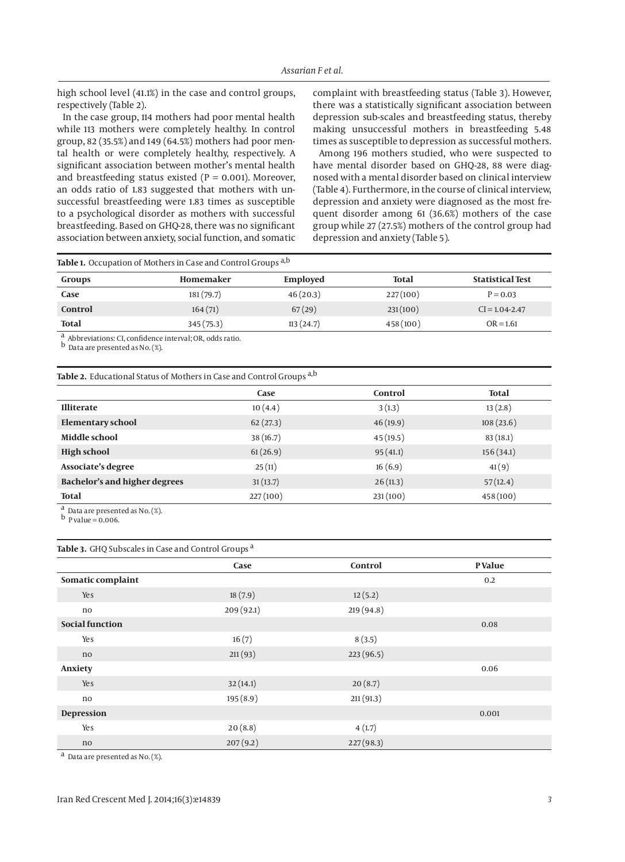high school level (41.1%) in the case and control groups, respectively (Table 2).

In the case group, 114 mothers had poor mental health while 113 mothers were completely healthy. In control group, 82 (35.5%) and 149 (64.5%) mothers had poor mental health or were completely healthy, respectively. A significant association between mother's mental health and breastfeeding status existed ( $P = 0.001$ ). Moreover, an odds ratio of 1.83 suggested that mothers with unsuccessful breastfeeding were 1.83 times as susceptible to a psychological disorder as mothers with successful breastfeeding. Based on GHQ-28, there was no significant association between anxiety, social function, and somatic

complaint with breastfeeding status (Table 3). However, there was a statistically significant association between depression sub-scales and breastfeeding status, thereby making unsuccessful mothers in breastfeeding 5.48 times as susceptible to depression as successful mothers.

Among 196 mothers studied, who were suspected to have mental disorder based on GHQ-28, 88 were diagnosed with a mental disorder based on clinical interview (Table 4). Furthermore, in the course of clinical interview, depression and anxiety were diagnosed as the most frequent disorder among 61 (36.6%) mothers of the case group while 27 (27.5%) mothers of the control group had depression and anxiety (Table 5).

| Table 1. Occupation of Mothers in Case and Control Groups <sup>a,b</sup> |  |  |
|--------------------------------------------------------------------------|--|--|
|--------------------------------------------------------------------------|--|--|

| Groups       | Homemaker  | Employed  | Total    | <b>Statistical Test</b> |
|--------------|------------|-----------|----------|-------------------------|
| Case         | 181 (79.7) | 46(20.3)  | 227(100) | $P = 0.03$              |
| Control      | 164(71)    | 67(29)    | 231(100) | $CI = 1.04 - 2.47$      |
| <b>Total</b> | 345(75.3)  | 113(24.7) | 458(100) | $OR = 1.61$             |

a Abbreviations: CI, confidence interval; OR, odds ratio.

b Data are presented as No. (%).

**Table 2.** Educational Status of Mothers in Case and Control Groups a,b

|                               | Case     | Control  | <b>Total</b> |
|-------------------------------|----------|----------|--------------|
| <b>Illiterate</b>             | 10(4.4)  | 3(1.3)   | 13(2.8)      |
| <b>Elementary school</b>      | 62(27.3) | 46(19.9) | 108(23.6)    |
| Middle school                 | 38(16.7) | 45(19.5) | 83(18.1)     |
| <b>High school</b>            | 61(26.9) | 95(41.1) | 156(34.1)    |
| Associate's degree            | 25(11)   | 16(6.9)  | 41(9)        |
| Bachelor's and higher degrees | 31(13.7) | 26(11.3) | 57(12.4)     |
| <b>Total</b>                  | 227(100) | 231(100) | 458(100)     |
| $\sim$                        |          |          |              |

<sup>a</sup> Data are presented as No. (%).

 $\frac{b}{p}$  value = 0.006.

#### **Table 3.** GHQ Subscales in Case and Control Groups a

|                        | Case      | Control    | <b>P</b> Value |
|------------------------|-----------|------------|----------------|
| Somatic complaint      |           |            | 0.2            |
| Yes                    | 18(7.9)   | 12(5.2)    |                |
| no                     | 209(92.1) | 219 (94.8) |                |
| <b>Social function</b> |           |            | 0.08           |
| Yes                    | 16(7)     | 8(3.5)     |                |
| no                     | 211(93)   | 223(96.5)  |                |
| Anxiety                |           |            | 0.06           |
| Yes                    | 32(14.1)  | 20(8.7)    |                |
| no                     | 195(8.9)  | 211(91.3)  |                |
| Depression             |           |            | 0.001          |
| Yes                    | 20(8.8)   | 4(1.7)     |                |
| no                     | 207(9.2)  | 227(98.3)  |                |

a Data are presented as No. (%).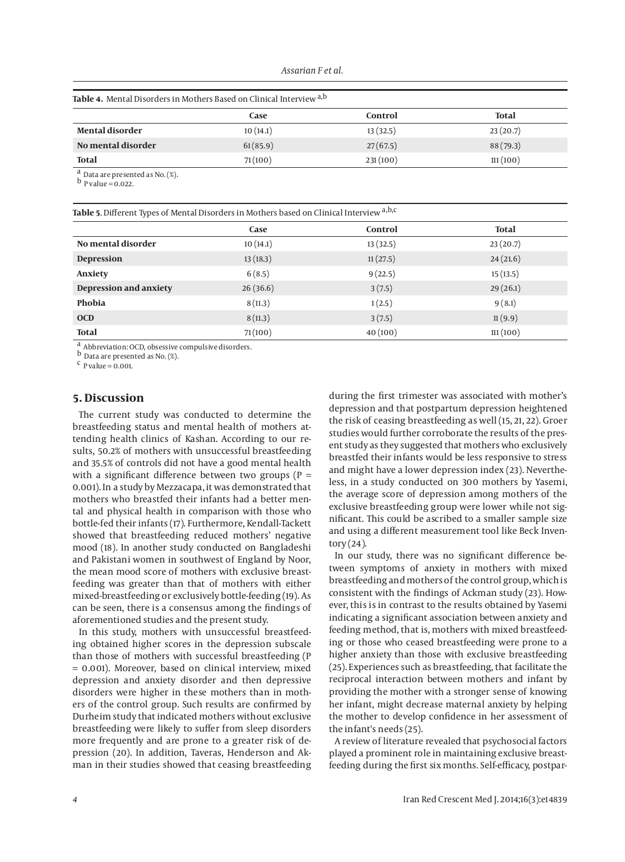#### **Table 4.** Mental Disorders in Mothers Based on Clinical Interview a,b

|                        | Case     | Control  | <b>Total</b> |
|------------------------|----------|----------|--------------|
| <b>Mental disorder</b> | 10(14.1) | 13(32.5) | 23(20.7)     |
| No mental disorder     | 61(85.9) | 27(67.5) | 88(79.3)     |
| <b>Total</b>           | 71(100)  | 231(100) | 111(100)     |
| $\sim$                 |          |          |              |

a Data are presented as No. (%).

 $\frac{b}{p}$  value = 0.022.

**Table 5**. Different Types of Mental Disorders in Mothers based on Clinical Interview a,b,c

|                        | Case     | Control  | <b>Total</b> |
|------------------------|----------|----------|--------------|
| No mental disorder     | 10(14.1) | 13(32.5) | 23(20.7)     |
| <b>Depression</b>      | 13(18.3) | 11(27.5) | 24(21.6)     |
| Anxiety                | 6(8.5)   | 9(22.5)  | 15(13.5)     |
| Depression and anxiety | 26(36.6) | 3(7.5)   | 29(26.1)     |
| Phobia                 | 8(11.3)  | 1(2.5)   | 9(8.1)       |
| <b>OCD</b>             | 8(11.3)  | 3(7.5)   | 11(9.9)      |
| <b>Total</b>           | 71(100)  | 40(100)  | 111(100)     |

a Abbreviation: OCD, obsessive compulsive disorders.

b Data are presented as No. (%).

 $c$  P value = 0.001.

## **5. Discussion**

The current study was conducted to determine the breastfeeding status and mental health of mothers attending health clinics of Kashan. According to our results, 50.2% of mothers with unsuccessful breastfeeding and 35.5% of controls did not have a good mental health with a significant difference between two groups ( $P =$ 0.001). In a study by Mezzacapa, it was demonstrated that mothers who breastfed their infants had a better mental and physical health in comparison with those who bottle-fed their infants (17). Furthermore, Kendall-Tackett showed that breastfeeding reduced mothers' negative mood (18). In another study conducted on Bangladeshi and Pakistani women in southwest of England by Noor, the mean mood score of mothers with exclusive breastfeeding was greater than that of mothers with either mixed-breastfeeding or exclusively bottle-feeding (19). As can be seen, there is a consensus among the findings of aforementioned studies and the present study.

In this study, mothers with unsuccessful breastfeeding obtained higher scores in the depression subscale than those of mothers with successful breastfeeding (P = 0.001). Moreover, based on clinical interview, mixed depression and anxiety disorder and then depressive disorders were higher in these mothers than in mothers of the control group. Such results are confirmed by Durheim study that indicated mothers without exclusive breastfeeding were likely to suffer from sleep disorders more frequently and are prone to a greater risk of depression (20). In addition, Taveras, Henderson and Akman in their studies showed that ceasing breastfeeding during the first trimester was associated with mother's depression and that postpartum depression heightened the risk of ceasing breastfeeding as well (15, 21, 22). Groer studies would further corroborate the results of the present study as they suggested that mothers who exclusively breastfed their infants would be less responsive to stress and might have a lower depression index (23). Nevertheless, in a study conducted on 300 mothers by Yasemi, the average score of depression among mothers of the exclusive breastfeeding group were lower while not significant. This could be ascribed to a smaller sample size and using a different measurement tool like Beck Inven $t$ ory  $(24)$ .

In our study, there was no significant difference between symptoms of anxiety in mothers with mixed breastfeeding and mothers of the control group, which is consistent with the findings of Ackman study (23). However, this is in contrast to the results obtained by Yasemi indicating a significant association between anxiety and feeding method, that is, mothers with mixed breastfeeding or those who ceased breastfeeding were prone to a higher anxiety than those with exclusive breastfeeding (25). Experiences such as breastfeeding, that facilitate the reciprocal interaction between mothers and infant by providing the mother with a stronger sense of knowing her infant, might decrease maternal anxiety by helping the mother to develop confidence in her assessment of the infant's needs (25).

A review of literature revealed that psychosocial factors played a prominent role in maintaining exclusive breastfeeding during the first six months. Self-efficacy, postpar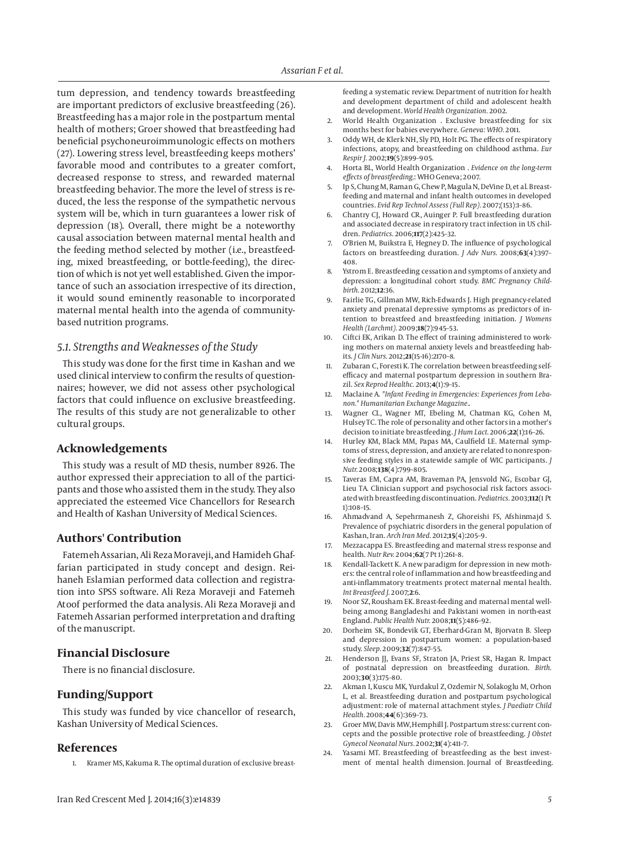tum depression, and tendency towards breastfeeding are important predictors of exclusive breastfeeding (26). Breastfeeding has a major role in the postpartum mental health of mothers; Groer showed that breastfeeding had beneficial psychoneuroimmunologic effects on mothers (27). Lowering stress level, breastfeeding keeps mothers' favorable mood and contributes to a greater comfort, decreased response to stress, and rewarded maternal breastfeeding behavior. The more the level of stress is reduced, the less the response of the sympathetic nervous system will be, which in turn guarantees a lower risk of depression (18). Overall, there might be a noteworthy causal association between maternal mental health and the feeding method selected by mother (i.e., breastfeeding, mixed breastfeeding, or bottle-feeding), the direction of which is not yet well established. Given the importance of such an association irrespective of its direction, it would sound eminently reasonable to incorporated maternal mental health into the agenda of communitybased nutrition programs.

# *5.1. Strengths and Weaknesses of the Study*

This study was done for the first time in Kashan and we used clinical interview to confirm the results of questionnaires; however, we did not assess other psychological factors that could influence on exclusive breastfeeding. The results of this study are not generalizable to other cultural groups.

# **Acknowledgements**

This study was a result of MD thesis, number 8926. The author expressed their appreciation to all of the participants and those who assisted them in the study. They also appreciated the esteemed Vice Chancellors for Research and Health of Kashan University of Medical Sciences.

## **Authors' Contribution**

Fatemeh Assarian, Ali Reza Moraveji, and Hamideh Ghaffarian participated in study concept and design. Reihaneh Eslamian performed data collection and registration into SPSS software. Ali Reza Moraveji and Fatemeh Atoof performed the data analysis. Ali Reza Moraveji and Fatemeh Assarian performed interpretation and drafting of the manuscript.

# **Financial Disclosure**

There is no financial disclosure.

## **Funding/Support**

This study was funded by vice chancellor of research, Kashan University of Medical Sciences.

### **References**

1. Kramer MS, Kakuma R. The optimal duration of exclusive breast-

feeding a systematic review. Department of nutrition for health and development department of child and adolescent health and development. *World Health Organization.* 2002.

- 2. World Health Organization . Exclusive breastfeeding for six months best for babies everywhere. *Geneva: WHO.* 2011.
- 3. Oddy WH, de Klerk NH, Sly PD, Holt PG. The effects of respiratory infections, atopy, and breastfeeding on childhood asthma. *Eur Respir J.* 2002;**19**(5):899–905.
- 4. Horta BL, World Health Organization . *Evidence on the long-term effects of breastfeeding.*: WHO Geneva; 2007.
- 5. Ip S, Chung M, Raman G, Chew P, Magula N, DeVine D, et al. Breastfeeding and maternal and infant health outcomes in developed countries. *Evid Rep Technol Assess (Full Rep).* 2007;(153):1–86.
- 6. Chantry CJ, Howard CR, Auinger P. Full breastfeeding duration and associated decrease in respiratory tract infection in US children. *Pediatrics.* 2006;**117**(2):425–32.
- 7. O'Brien M, Buikstra E, Hegney D. The influence of psychological factors on breastfeeding duration. *J Adv Nurs.* 2008;**63**(4):397– 408.
- 8. Ystrom E. Breastfeeding cessation and symptoms of anxiety and depression: a longitudinal cohort study. *BMC Pregnancy Childbirth.* 2012;**12**:36.
- 9. Fairlie TG, Gillman MW, Rich-Edwards J. High pregnancy-related anxiety and prenatal depressive symptoms as predictors of intention to breastfeed and breastfeeding initiation. *J Womens Health (Larchmt).* 2009;**18**(7):945–53.
- 10. Ciftci EK, Arikan D. The effect of training administered to working mothers on maternal anxiety levels and breastfeeding habits. *J Clin Nurs.* 2012;**21**(15-16):2170–8.
- 11. Zubaran C, Foresti K. The correlation between breastfeeding selfefficacy and maternal postpartum depression in southern Brazil. *Sex Reprod Healthc.* 2013;**4**(1):9–15.
- 12. Maclaine A. *"Infant Feeding in Emergencies: Experiences from Lebanon." Humanitarian Exchange Magazine.*.
- 13. Wagner CL, Wagner MT, Ebeling M, Chatman KG, Cohen M, Hulsey TC. The role of personality and other factors in a mother's decision to initiate breastfeeding. *J Hum Lact.* 2006;**22**(1):16–26.
- 14. Hurley KM, Black MM, Papas MA, Caulfield LE. Maternal symptoms of stress, depression, and anxiety are related to nonresponsive feeding styles in a statewide sample of WIC participants. *J Nutr.* 2008;**138**(4):799–805.
- 15. Taveras EM, Capra AM, Braveman PA, Jensvold NG, Escobar GJ, Lieu TA. Clinician support and psychosocial risk factors associated with breastfeeding discontinuation. *Pediatrics.* 2003;**112**(1 Pt 1):108–15.
- 16. Ahmadvand A, Sepehrmanesh Z, Ghoreishi FS, Afshinmajd S. Prevalence of psychiatric disorders in the general population of Kashan, Iran. *Arch Iran Med.* 2012;**15**(4):205–9.
- 17. Mezzacappa ES. Breastfeeding and maternal stress response and health. *Nutr Rev.* 2004;**62**(7 Pt 1):261–8.
- 18. Kendall-Tackett K. A new paradigm for depression in new mothers: the central role of inflammation and how breastfeeding and anti-inflammatory treatments protect maternal mental health. *Int Breastfeed J.* 2007;**2**:6.
- 19. Noor SZ, Rousham EK. Breast-feeding and maternal mental wellbeing among Bangladeshi and Pakistani women in north-east England. *Public Health Nutr.* 2008;**11**(5):486–92.
- 20. Dorheim SK, Bondevik GT, Eberhard-Gran M, Bjorvatn B. Sleep and depression in postpartum women: a population-based study. *Sleep.* 2009;**32**(7):847–55.
- 21. Henderson JJ, Evans SF, Straton JA, Priest SR, Hagan R. Impact of postnatal depression on breastfeeding duration. *Birth.* 2003;**30**(3):175–80.
- 22. Akman I, Kuscu MK, Yurdakul Z, Ozdemir N, Solakoglu M, Orhon L, et al. Breastfeeding duration and postpartum psychological adjustment: role of maternal attachment styles. *J Paediatr Child Health.* 2008;**44**(6):369–73.
- 23. Groer MW, Davis MW, Hemphill J. Postpartum stress: current concepts and the possible protective role of breastfeeding. *J Obstet Gynecol Neonatal Nurs.* 2002;**31**(4):411–7.
- 24. Yasami MT. Breastfeeding of breastfeeding as the best investment of mental health dimension. Journal of Breastfeeding.